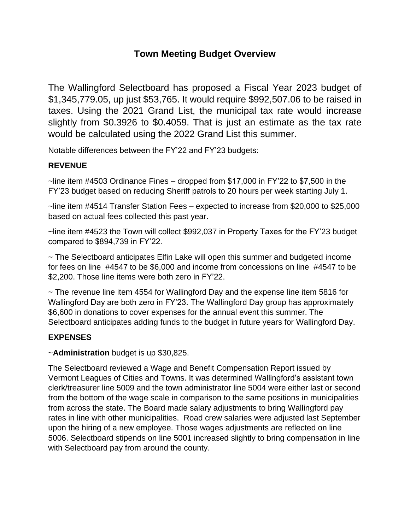# **Town Meeting Budget Overview**

The Wallingford Selectboard has proposed a Fiscal Year 2023 budget of \$1,345,779.05, up just \$53,765. It would require \$992,507.06 to be raised in taxes. Using the 2021 Grand List, the municipal tax rate would increase slightly from \$0.3926 to \$0.4059. That is just an estimate as the tax rate would be calculated using the 2022 Grand List this summer.

Notable differences between the FY'22 and FY'23 budgets:

# **REVENUE**

~line item #4503 Ordinance Fines – dropped from \$17,000 in FY'22 to \$7,500 in the FY'23 budget based on reducing Sheriff patrols to 20 hours per week starting July 1.

~line item #4514 Transfer Station Fees – expected to increase from \$20,000 to \$25,000 based on actual fees collected this past year.

~line item #4523 the Town will collect \$992,037 in Property Taxes for the FY'23 budget compared to \$894,739 in FY'22.

~ The Selectboard anticipates Elfin Lake will open this summer and budgeted income for fees on line #4547 to be \$6,000 and income from concessions on line #4547 to be \$2,200. Those line items were both zero in FY'22.

 $\sim$  The revenue line item 4554 for Wallingford Day and the expense line item 5816 for Wallingford Day are both zero in FY'23. The Wallingford Day group has approximately \$6,600 in donations to cover expenses for the annual event this summer. The Selectboard anticipates adding funds to the budget in future years for Wallingford Day.

# **EXPENSES**

# ~**Administration** budget is up \$30,825.

The Selectboard reviewed a Wage and Benefit Compensation Report issued by Vermont Leagues of Cities and Towns. It was determined Wallingford's assistant town clerk/treasurer line 5009 and the town administrator line 5004 were either last or second from the bottom of the wage scale in comparison to the same positions in municipalities from across the state. The Board made salary adjustments to bring Wallingford pay rates in line with other municipalities. Road crew salaries were adjusted last September upon the hiring of a new employee. Those wages adjustments are reflected on line 5006. Selectboard stipends on line 5001 increased slightly to bring compensation in line with Selectboard pay from around the county.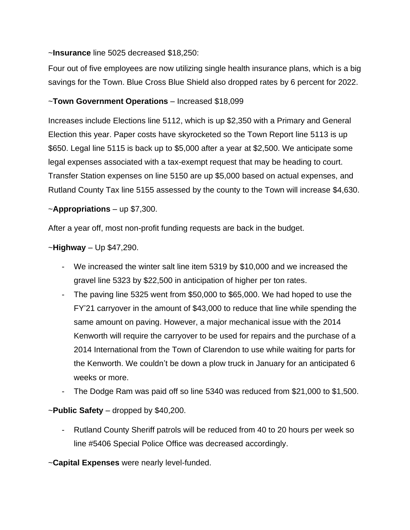#### ~**Insurance** line 5025 decreased \$18,250:

Four out of five employees are now utilizing single health insurance plans, which is a big savings for the Town. Blue Cross Blue Shield also dropped rates by 6 percent for 2022.

# ~**Town Government Operations** – Increased \$18,099

Increases include Elections line 5112, which is up \$2,350 with a Primary and General Election this year. Paper costs have skyrocketed so the Town Report line 5113 is up \$650. Legal line 5115 is back up to \$5,000 after a year at \$2,500. We anticipate some legal expenses associated with a tax-exempt request that may be heading to court. Transfer Station expenses on line 5150 are up \$5,000 based on actual expenses, and Rutland County Tax line 5155 assessed by the county to the Town will increase \$4,630.

#### ~**Appropriations** – up \$7,300.

After a year off, most non-profit funding requests are back in the budget.

# ~**Highway** – Up \$47,290.

- We increased the winter salt line item 5319 by \$10,000 and we increased the gravel line 5323 by \$22,500 in anticipation of higher per ton rates.
- The paving line 5325 went from \$50,000 to \$65,000. We had hoped to use the FY'21 carryover in the amount of \$43,000 to reduce that line while spending the same amount on paving. However, a major mechanical issue with the 2014 Kenworth will require the carryover to be used for repairs and the purchase of a 2014 International from the Town of Clarendon to use while waiting for parts for the Kenworth. We couldn't be down a plow truck in January for an anticipated 6 weeks or more.
- The Dodge Ram was paid off so line 5340 was reduced from \$21,000 to \$1,500.

# ~**Public Safety** – dropped by \$40,200.

Rutland County Sheriff patrols will be reduced from 40 to 20 hours per week so line #5406 Special Police Office was decreased accordingly.

~**Capital Expenses** were nearly level-funded.